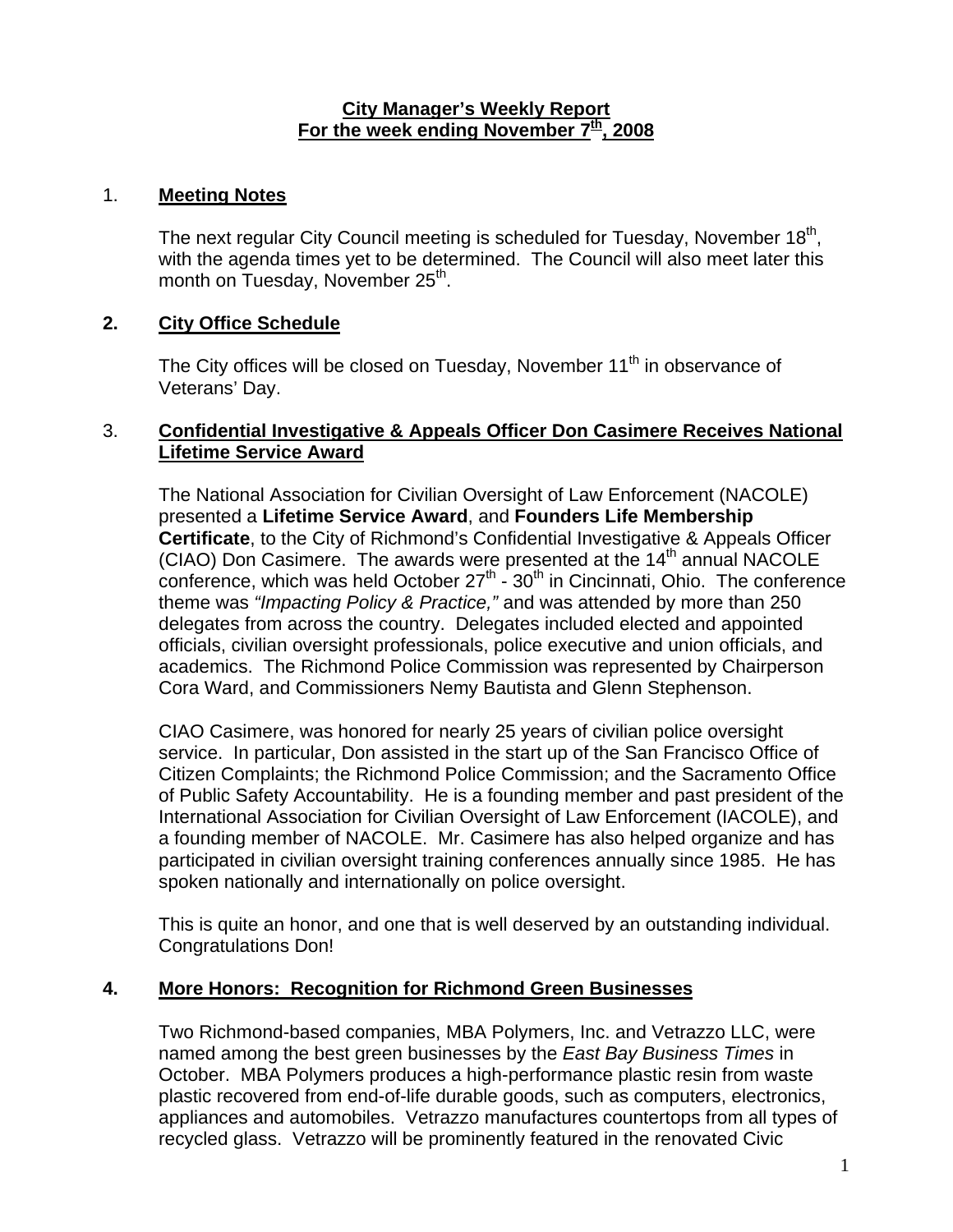#### **City Manager's Weekly Report** For the week ending November  $7<sup>th</sup>$ , 2008

#### 1. **Meeting Notes**

The next regular City Council meeting is scheduled for Tuesday, November 18<sup>th</sup>, with the agenda times yet to be determined. The Council will also meet later this month on Tuesday, November 25<sup>th</sup>.

# **2. City Office Schedule**

The City offices will be closed on Tuesday, November  $11<sup>th</sup>$  in observance of Veterans' Day.

## 3. **Confidential Investigative & Appeals Officer Don Casimere Receives National Lifetime Service Award**

The National Association for Civilian Oversight of Law Enforcement (NACOLE) presented a **Lifetime Service Award**, and **Founders Life Membership Certificate**, to the City of Richmond's Confidential Investigative & Appeals Officer (CIAO) Don Casimere. The awards were presented at the 14<sup>th</sup> annual NACOLE conference, which was held October  $27<sup>th</sup>$  -  $30<sup>th</sup>$  in Cincinnati, Ohio. The conference theme was *"Impacting Policy & Practice,"* and was attended by more than 250 delegates from across the country. Delegates included elected and appointed officials, civilian oversight professionals, police executive and union officials, and academics. The Richmond Police Commission was represented by Chairperson Cora Ward, and Commissioners Nemy Bautista and Glenn Stephenson.

CIAO Casimere, was honored for nearly 25 years of civilian police oversight service. In particular, Don assisted in the start up of the San Francisco Office of Citizen Complaints; the Richmond Police Commission; and the Sacramento Office of Public Safety Accountability. He is a founding member and past president of the International Association for Civilian Oversight of Law Enforcement (IACOLE), and a founding member of NACOLE. Mr. Casimere has also helped organize and has participated in civilian oversight training conferences annually since 1985. He has spoken nationally and internationally on police oversight.

This is quite an honor, and one that is well deserved by an outstanding individual. Congratulations Don!

# **4. More Honors: Recognition for Richmond Green Businesses**

Two Richmond-based companies, MBA Polymers, Inc. and Vetrazzo LLC, were named among the best green businesses by the *East Bay Business Times* in October. MBA Polymers produces a high-performance plastic resin from waste plastic recovered from end-of-life durable goods, such as computers, electronics, appliances and automobiles. Vetrazzo manufactures countertops from all types of recycled glass. Vetrazzo will be prominently featured in the renovated Civic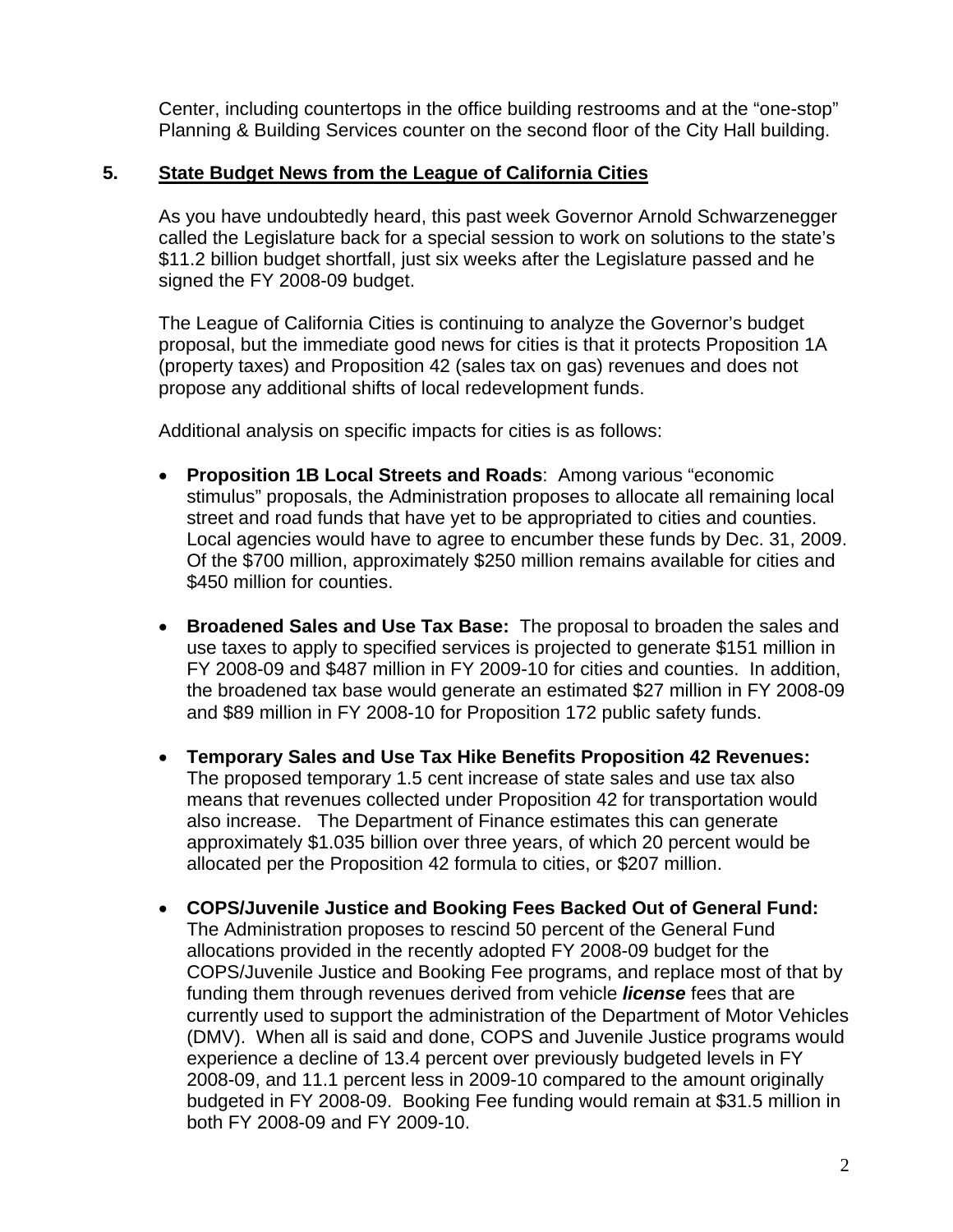Center, including countertops in the office building restrooms and at the "one-stop" Planning & Building Services counter on the second floor of the City Hall building.

## **5. State Budget News from the League of California Cities**

As you have undoubtedly heard, this past week Governor Arnold Schwarzenegger called the Legislature back for a special session to work on solutions to the state's \$11.2 billion budget shortfall, just six weeks after the Legislature passed and he signed the FY 2008-09 budget.

The League of California Cities is continuing to analyze the Governor's budget proposal, but the immediate good news for cities is that it protects Proposition 1A (property taxes) and Proposition 42 (sales tax on gas) revenues and does not propose any additional shifts of local redevelopment funds.

Additional analysis on specific impacts for cities is as follows:

- **Proposition 1B Local Streets and Roads**: Among various "economic stimulus" proposals, the Administration proposes to allocate all remaining local street and road funds that have yet to be appropriated to cities and counties. Local agencies would have to agree to encumber these funds by Dec. 31, 2009. Of the \$700 million, approximately \$250 million remains available for cities and \$450 million for counties.
- **Broadened Sales and Use Tax Base:** The proposal to broaden the sales and use taxes to apply to specified services is projected to generate \$151 million in FY 2008-09 and \$487 million in FY 2009-10 for cities and counties. In addition, the broadened tax base would generate an estimated \$27 million in FY 2008-09 and \$89 million in FY 2008-10 for Proposition 172 public safety funds.
- **Temporary Sales and Use Tax Hike Benefits Proposition 42 Revenues:**  The proposed temporary 1.5 cent increase of state sales and use tax also means that revenues collected under Proposition 42 for transportation would also increase. The Department of Finance estimates this can generate approximately \$1.035 billion over three years, of which 20 percent would be allocated per the Proposition 42 formula to cities, or \$207 million.
- **COPS/Juvenile Justice and Booking Fees Backed Out of General Fund:**  The Administration proposes to rescind 50 percent of the General Fund allocations provided in the recently adopted FY 2008-09 budget for the COPS/Juvenile Justice and Booking Fee programs, and replace most of that by funding them through revenues derived from vehicle *license* fees that are currently used to support the administration of the Department of Motor Vehicles (DMV). When all is said and done, COPS and Juvenile Justice programs would experience a decline of 13.4 percent over previously budgeted levels in FY 2008-09, and 11.1 percent less in 2009-10 compared to the amount originally budgeted in FY 2008-09. Booking Fee funding would remain at \$31.5 million in both FY 2008-09 and FY 2009-10.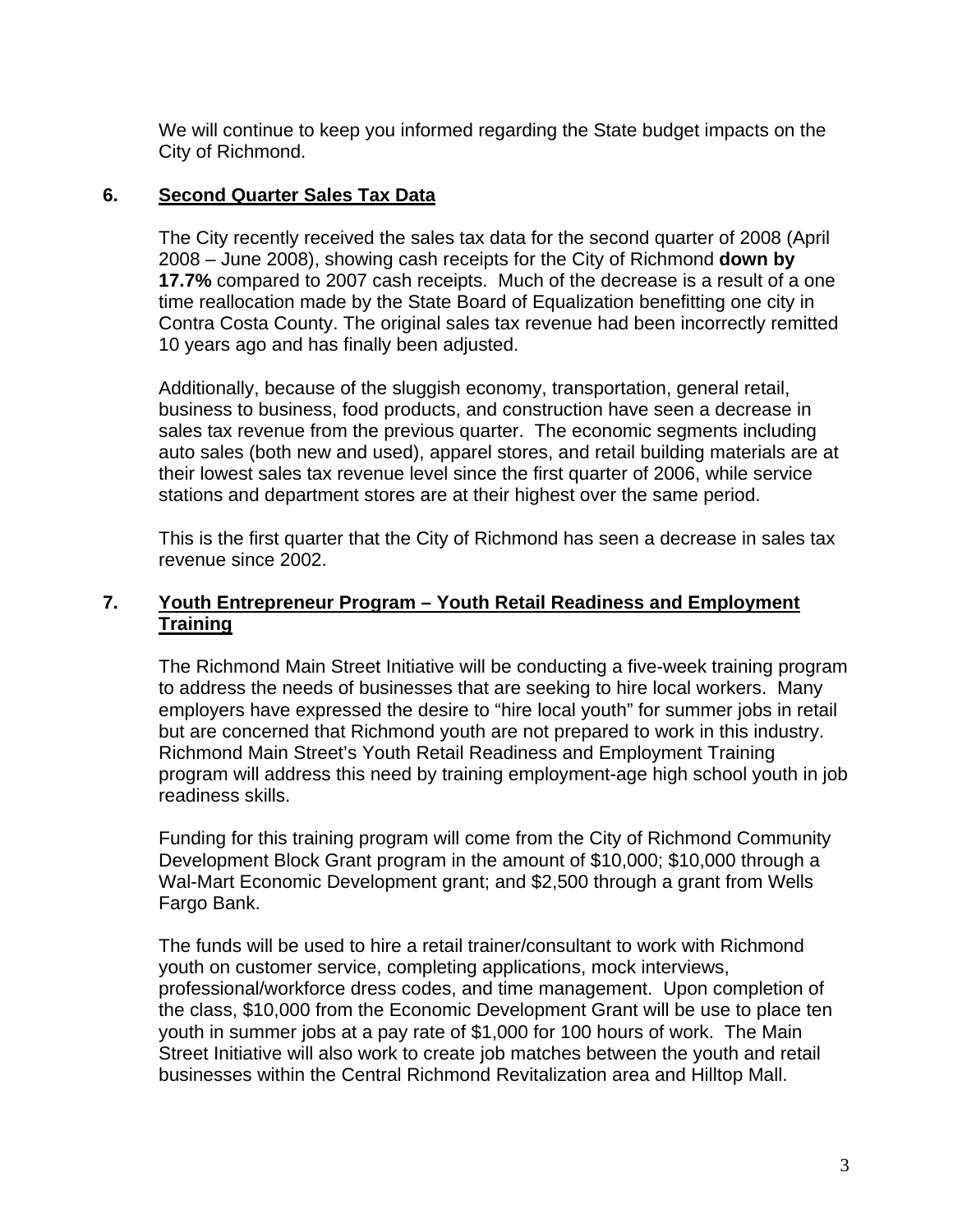We will continue to keep you informed regarding the State budget impacts on the City of Richmond.

#### **6. Second Quarter Sales Tax Data**

The City recently received the sales tax data for the second quarter of 2008 (April 2008 – June 2008), showing cash receipts for the City of Richmond **down by 17.7%** compared to 2007 cash receipts. Much of the decrease is a result of a one time reallocation made by the State Board of Equalization benefitting one city in Contra Costa County. The original sales tax revenue had been incorrectly remitted 10 years ago and has finally been adjusted.

Additionally, because of the sluggish economy, transportation, general retail, business to business, food products, and construction have seen a decrease in sales tax revenue from the previous quarter. The economic segments including auto sales (both new and used), apparel stores, and retail building materials are at their lowest sales tax revenue level since the first quarter of 2006, while service stations and department stores are at their highest over the same period.

This is the first quarter that the City of Richmond has seen a decrease in sales tax revenue since 2002.

## **7. Youth Entrepreneur Program – Youth Retail Readiness and Employment Training**

The Richmond Main Street Initiative will be conducting a five-week training program to address the needs of businesses that are seeking to hire local workers. Many employers have expressed the desire to "hire local youth" for summer jobs in retail but are concerned that Richmond youth are not prepared to work in this industry. Richmond Main Street's Youth Retail Readiness and Employment Training program will address this need by training employment-age high school youth in job readiness skills.

Funding for this training program will come from the City of Richmond Community Development Block Grant program in the amount of \$10,000; \$10,000 through a Wal-Mart Economic Development grant; and \$2,500 through a grant from Wells Fargo Bank.

The funds will be used to hire a retail trainer/consultant to work with Richmond youth on customer service, completing applications, mock interviews, professional/workforce dress codes, and time management. Upon completion of the class, \$10,000 from the Economic Development Grant will be use to place ten youth in summer jobs at a pay rate of \$1,000 for 100 hours of work. The Main Street Initiative will also work to create job matches between the youth and retail businesses within the Central Richmond Revitalization area and Hilltop Mall.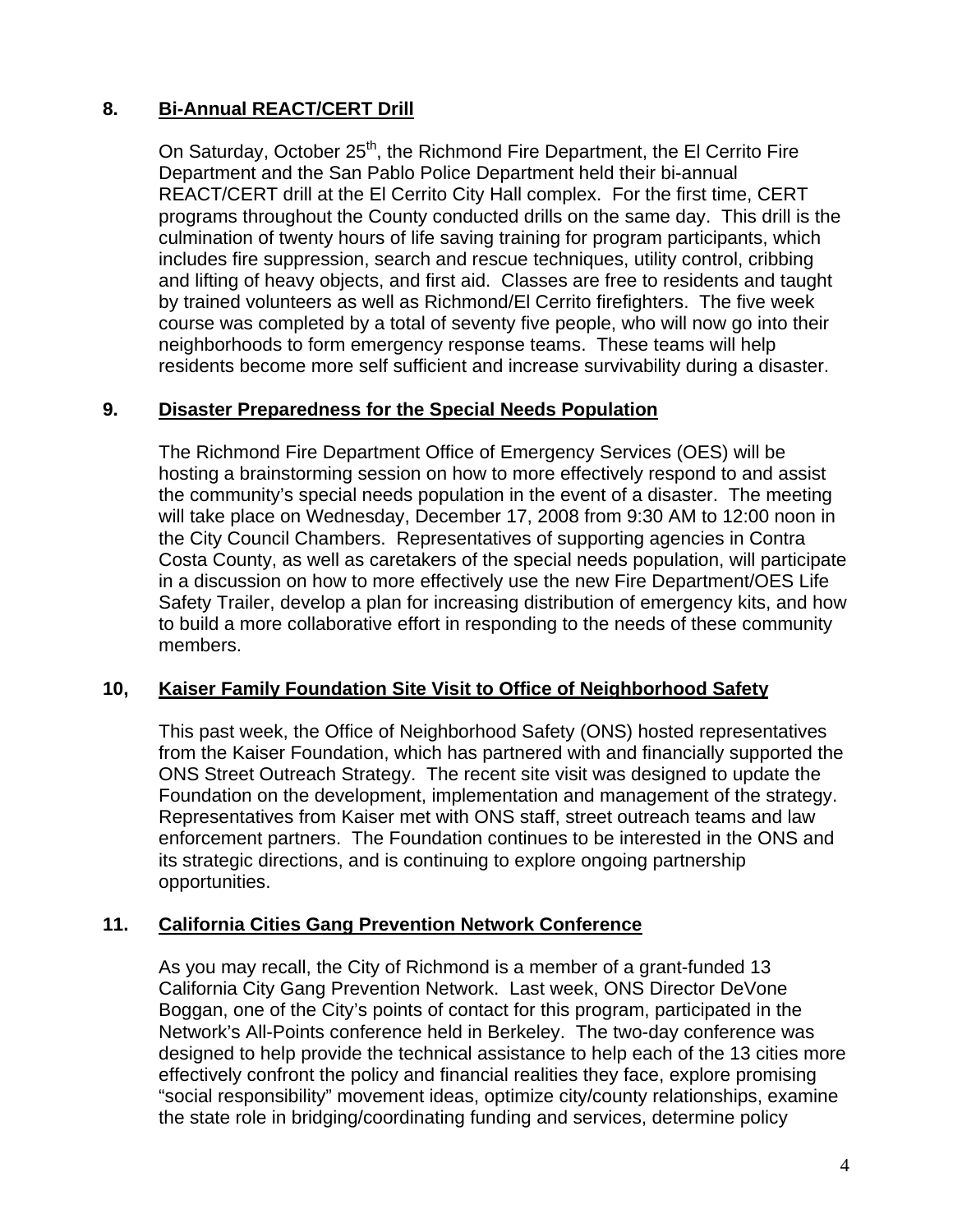# **8. Bi-Annual REACT/CERT Drill**

On Saturday, October 25<sup>th</sup>, the Richmond Fire Department, the El Cerrito Fire Department and the San Pablo Police Department held their bi-annual REACT/CERT drill at the El Cerrito City Hall complex. For the first time, CERT programs throughout the County conducted drills on the same day. This drill is the culmination of twenty hours of life saving training for program participants, which includes fire suppression, search and rescue techniques, utility control, cribbing and lifting of heavy objects, and first aid. Classes are free to residents and taught by trained volunteers as well as Richmond/El Cerrito firefighters. The five week course was completed by a total of seventy five people, who will now go into their neighborhoods to form emergency response teams. These teams will help residents become more self sufficient and increase survivability during a disaster.

## **9. Disaster Preparedness for the Special Needs Population**

The Richmond Fire Department Office of Emergency Services (OES) will be hosting a brainstorming session on how to more effectively respond to and assist the community's special needs population in the event of a disaster. The meeting will take place on Wednesday, December 17, 2008 from 9:30 AM to 12:00 noon in the City Council Chambers. Representatives of supporting agencies in Contra Costa County, as well as caretakers of the special needs population, will participate in a discussion on how to more effectively use the new Fire Department/OES Life Safety Trailer, develop a plan for increasing distribution of emergency kits, and how to build a more collaborative effort in responding to the needs of these community members.

#### **10, Kaiser Family Foundation Site Visit to Office of Neighborhood Safety**

This past week, the Office of Neighborhood Safety (ONS) hosted representatives from the Kaiser Foundation, which has partnered with and financially supported the ONS Street Outreach Strategy. The recent site visit was designed to update the Foundation on the development, implementation and management of the strategy. Representatives from Kaiser met with ONS staff, street outreach teams and law enforcement partners. The Foundation continues to be interested in the ONS and its strategic directions, and is continuing to explore ongoing partnership opportunities.

#### **11. California Cities Gang Prevention Network Conference**

As you may recall, the City of Richmond is a member of a grant-funded 13 California City Gang Prevention Network. Last week, ONS Director DeVone Boggan, one of the City's points of contact for this program, participated in the Network's All-Points conference held in Berkeley. The two-day conference was designed to help provide the technical assistance to help each of the 13 cities more effectively confront the policy and financial realities they face, explore promising "social responsibility" movement ideas, optimize city/county relationships, examine the state role in bridging/coordinating funding and services, determine policy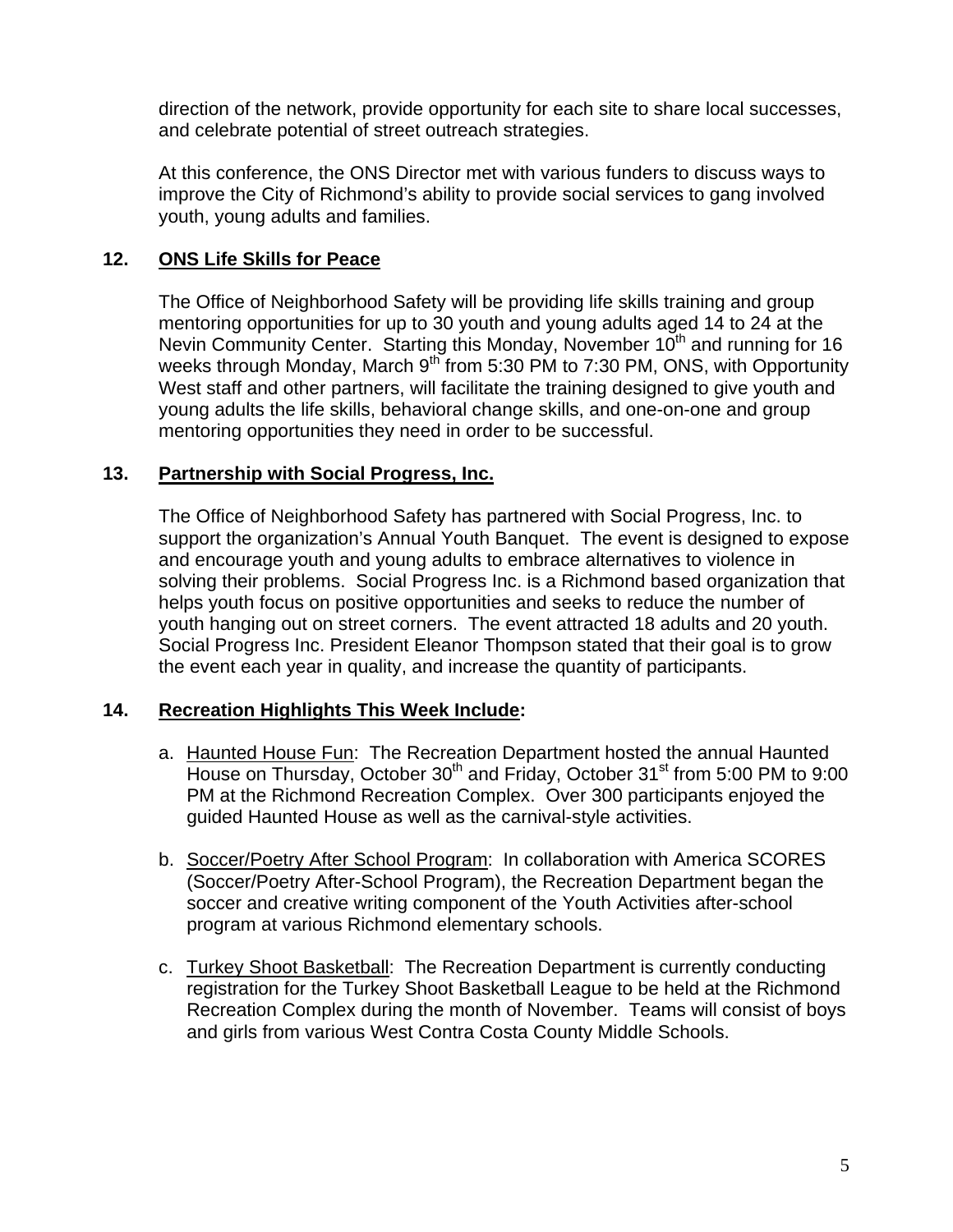direction of the network, provide opportunity for each site to share local successes, and celebrate potential of street outreach strategies.

At this conference, the ONS Director met with various funders to discuss ways to improve the City of Richmond's ability to provide social services to gang involved youth, young adults and families.

# **12. ONS Life Skills for Peace**

The Office of Neighborhood Safety will be providing life skills training and group mentoring opportunities for up to 30 youth and young adults aged 14 to 24 at the Nevin Community Center. Starting this Monday, November 10<sup>th</sup> and running for 16 weeks through Monday, March  $9^{th}$  from 5:30 PM to 7:30 PM, ONS, with Opportunity West staff and other partners, will facilitate the training designed to give youth and young adults the life skills, behavioral change skills, and one-on-one and group mentoring opportunities they need in order to be successful.

# **13. Partnership with Social Progress, Inc.**

The Office of Neighborhood Safety has partnered with Social Progress, Inc. to support the organization's Annual Youth Banquet. The event is designed to expose and encourage youth and young adults to embrace alternatives to violence in solving their problems. Social Progress Inc. is a Richmond based organization that helps youth focus on positive opportunities and seeks to reduce the number of youth hanging out on street corners. The event attracted 18 adults and 20 youth. Social Progress Inc. President Eleanor Thompson stated that their goal is to grow the event each year in quality, and increase the quantity of participants.

# **14. Recreation Highlights This Week Include:**

- a. Haunted House Fun: The Recreation Department hosted the annual Haunted House on Thursday, October  $30<sup>th</sup>$  and Friday, October  $31<sup>st</sup>$  from 5:00 PM to 9:00 PM at the Richmond Recreation Complex. Over 300 participants enjoyed the guided Haunted House as well as the carnival-style activities.
- b. Soccer/Poetry After School Program: In collaboration with America SCORES (Soccer/Poetry After-School Program), the Recreation Department began the soccer and creative writing component of the Youth Activities after-school program at various Richmond elementary schools.
- c. Turkey Shoot Basketball: The Recreation Department is currently conducting registration for the Turkey Shoot Basketball League to be held at the Richmond Recreation Complex during the month of November. Teams will consist of boys and girls from various West Contra Costa County Middle Schools.